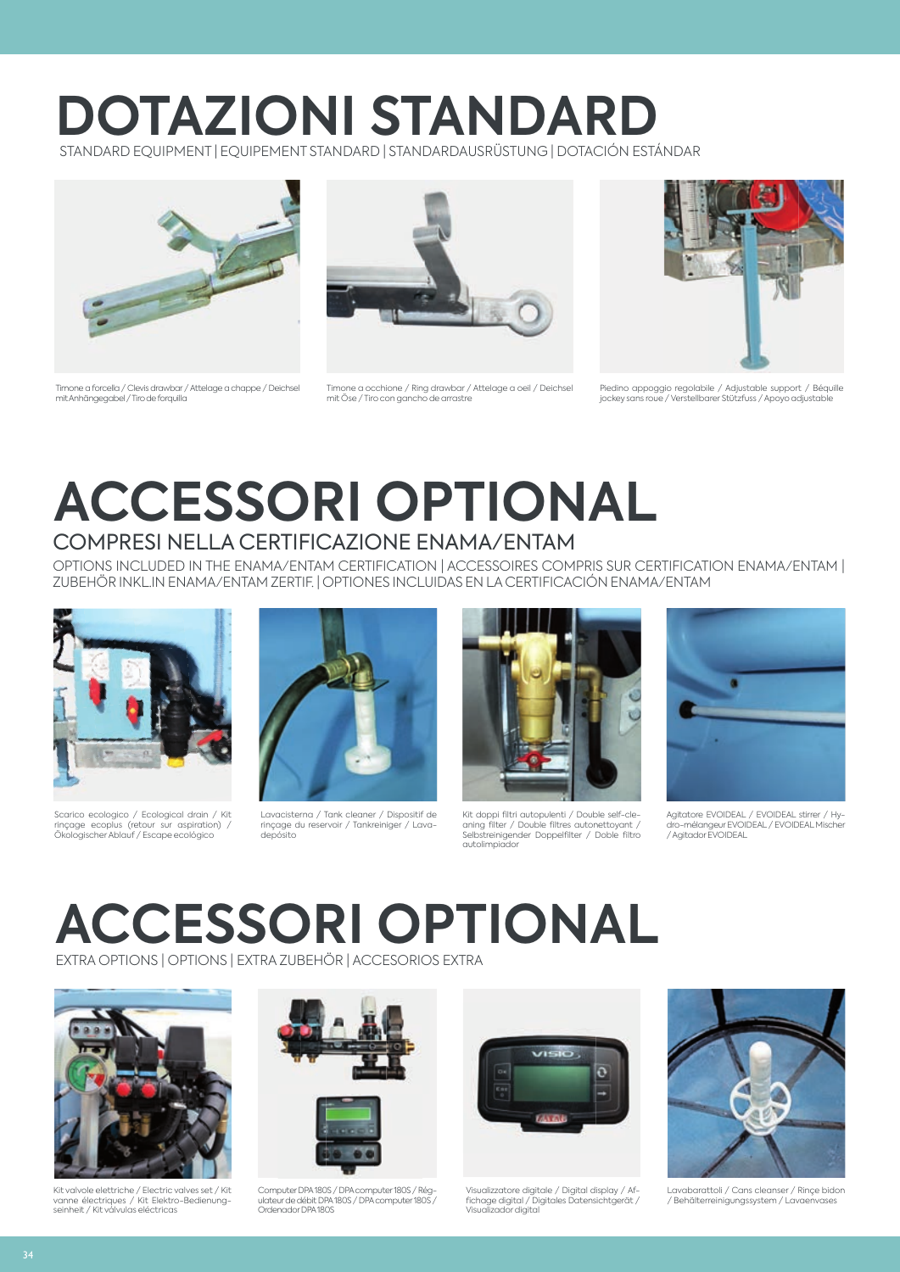## **DOTAZIONI STANDARD**

STANDARD EQUIPMENT | EQUIPEMENT STANDARD | STANDARDAUSRÜSTUNG | DOTACIÓN ESTÁNDAR



Timone a forcella / Clevis drawbar / Attelage a chappe / Deichsel mit Anhängegabel / Tiro de forquilla



Timone a occhione / Ring drawbar / Attelage a oeil / Deichsel mit Öse / Tiro con gancho de arrastre



Piedino appoggio regolabile / Adjustable support / Béquille jockey sans roue / Verstellbarer Stützfuss / Apoyo adjustable

## COMPRESI NELLA CERTIFICAZIONE ENAMA/ENTAM **ACCESSORI OPTIONAL**

OPTIONS INCLUDED IN THE ENAMA/ENTAM CERTIFICATION | ACCESSOIRES COMPRIS SUR CERTIFICATION ENAMA/ENTAM | ZUBEHÖR INKL.IN ENAMA/ENTAM ZERTIF. | OPTIONES INCLUIDAS EN LA CERTIFICACIÓN ENAMA/ENTAM



Scarico ecologico / Ecological drain / Kit rinçage ecoplus (retour sur aspiration) / Ökologischer Ablauf / Escape ecológico



Lavacisterna / Tank cleaner / Dispositif de rinçage du reservoir / Tankreiniger / Lava-depósito



Kit doppi filtri autopulenti / Double self-cleaning filter / Double filtres autonettoyant /<br>Selbstreinigender Doppelfilter / Doble filtro<br>autolimpiador



Agitatore EVOIDEAL / EVOIDEAL stirrer / Hydro-mélangeur EVOIDEAL / EVOIDEAL Mischer / Agitador EVOIDEAL

## **ACCESSORI OPTIONAL**

EXTRA OPTIONS | OPTIONS | EXTRA ZUBEHÖR | ACCESORIOS EXTRA



Kit valvole elettriche / Electric valves set / Kit vanne électriques / Kit Elektro-Bedienung-seinheit / Kit válvulas eléctricas



Computer DPA 180S / DPA computer 180S / Rég-ulateur de débit DPA 180S / DPA computer 180S / Ordenador DPA 180S



Visualizzatore digitale / Digital display / Af-<br>fichage digital / Digitales Datensichtgerät /<br>Visualizador digital



Lavabarattoli / Cans cleanser / Rinçe bidon / Behälterreinigungssystem / Lavaenvases